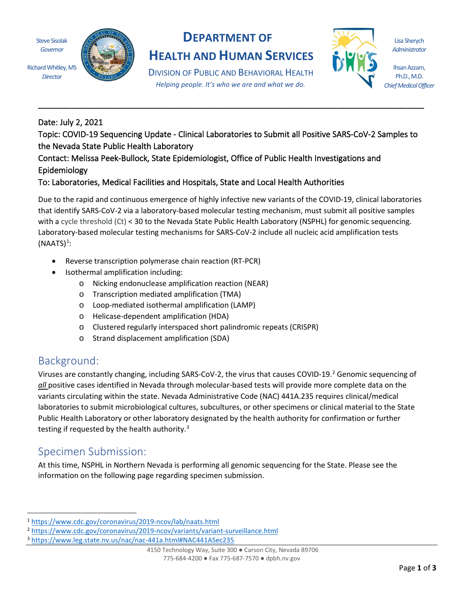Steve Sisolak *Governor*

*Director*

Richard Whitley, MS

# **DEPARTMENT OF**

**HEALTH AND HUMAN SERVICES**

DIVISION OF PUBLIC AND BEHAVIORAL HEALTH *Helping people. It's who we are and what we do.*

**\_\_\_\_\_\_\_\_\_\_\_\_\_\_\_\_\_\_\_\_\_\_\_\_\_\_\_\_\_\_\_\_\_\_\_\_\_\_\_\_\_\_\_\_\_\_\_\_\_\_\_\_\_\_\_\_\_\_\_\_\_\_\_\_\_\_\_\_\_\_\_\_\_\_\_\_\_\_\_\_\_\_\_\_\_\_\_\_\_\_\_\_\_**



Lisa Sherych *Administrator*

Ihsan Azzam, Ph.D., M.D. *Chief Medical Officer*

### Date: July 2, 2021

Topic: COVID-19 Sequencing Update - Clinical Laboratories to Submit all Positive SARS-CoV-2 Samples to the Nevada State Public Health Laboratory

### Contact: Melissa Peek-Bullock, State Epidemiologist, Office of Public Health Investigations and Epidemiology

#### To: Laboratories, Medical Facilities and Hospitals, State and Local Health Authorities

Due to the rapid and continuous emergence of highly infective new variants of the COVID-19, clinical laboratories that identify SARS-CoV-2 via a laboratory-based molecular testing mechanism, must submit all positive samples with a cycle threshold (Ct) < 30 to the Nevada State Public Health Laboratory (NSPHL) for genomic sequencing. Laboratory-based molecular testing mechanisms for SARS-CoV-2 include all nucleic acid amplification tests  $(NAATS)^1$ :

- Reverse transcription polymerase chain reaction (RT-PCR)
- Isothermal amplification including:
	- o Nicking endonuclease amplification reaction (NEAR)
	- o Transcription mediated amplification (TMA)
	- o Loop-mediated isothermal amplification (LAMP)
	- o Helicase-dependent amplification (HDA)
	- o Clustered regularly interspaced short palindromic repeats (CRISPR)
	- o Strand displacement amplification (SDA)

# Background:

Viruses are constantly changing, including SARS-CoV-2, the virus that causes COVID-19.<sup>2</sup> Genomic sequencing of *all* positive cases identified in Nevada through molecular-based tests will provide more complete data on the variants circulating within the state. Nevada Administrative Code (NAC) 441A.235 requires clinical/medical laboratories to submit microbiological cultures, subcultures, or other specimens or clinical material to the State Public Health Laboratory or other laboratory designated by the health authority for confirmation or further testing if requested by the health authority.<sup>3</sup>

# Specimen Submission:

At this time, NSPHL in Northern Nevada is performing all genomic sequencing for the State. Please see the information on the following page regarding specimen submission.

<sup>1</sup> https://www.cdc.gov/coronavirus/2019-ncov/lab/naats.html

<sup>2</sup> https://www.cdc.gov/coronavirus/2019-ncov/variants/variant-surveillance.html

<sup>3</sup> https://www.leg.state.nv.us/nac/nac-441a.html#NAC441ASec235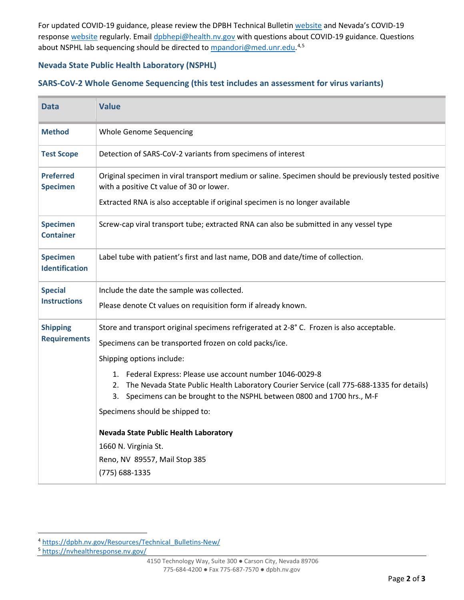For updated COVID-19 guidance, please review the DPBH Technical Bulletin website and Nevada's COVID-19 response website regularly. Email dpbhepi@health.nv.gov with questions about COVID-19 guidance. Questions about NSPHL lab sequencing should be directed to **mpandori@med.unr.edu.<sup>4,5</sup>** 

#### **Nevada State Public Health Laboratory (NSPHL)**

#### **SARS-CoV-2 Whole Genome Sequencing (this test includes an assessment for virus variants)**

| <b>Data</b>                              | <b>Value</b>                                                                                                                                                                                                                                |
|------------------------------------------|---------------------------------------------------------------------------------------------------------------------------------------------------------------------------------------------------------------------------------------------|
| <b>Method</b>                            | <b>Whole Genome Sequencing</b>                                                                                                                                                                                                              |
| <b>Test Scope</b>                        | Detection of SARS-CoV-2 variants from specimens of interest                                                                                                                                                                                 |
| <b>Preferred</b><br><b>Specimen</b>      | Original specimen in viral transport medium or saline. Specimen should be previously tested positive<br>with a positive Ct value of 30 or lower.                                                                                            |
|                                          | Extracted RNA is also acceptable if original specimen is no longer available                                                                                                                                                                |
| <b>Specimen</b><br><b>Container</b>      | Screw-cap viral transport tube; extracted RNA can also be submitted in any vessel type                                                                                                                                                      |
| <b>Specimen</b><br><b>Identification</b> | Label tube with patient's first and last name, DOB and date/time of collection.                                                                                                                                                             |
| <b>Special</b><br><b>Instructions</b>    | Include the date the sample was collected.                                                                                                                                                                                                  |
|                                          | Please denote Ct values on requisition form if already known.                                                                                                                                                                               |
| <b>Shipping</b><br><b>Requirements</b>   | Store and transport original specimens refrigerated at 2-8° C. Frozen is also acceptable.                                                                                                                                                   |
|                                          | Specimens can be transported frozen on cold packs/ice.                                                                                                                                                                                      |
|                                          | Shipping options include:                                                                                                                                                                                                                   |
|                                          | 1. Federal Express: Please use account number 1046-0029-8<br>The Nevada State Public Health Laboratory Courier Service (call 775-688-1335 for details)<br>2.<br>Specimens can be brought to the NSPHL between 0800 and 1700 hrs., M-F<br>3. |
|                                          | Specimens should be shipped to:                                                                                                                                                                                                             |
|                                          | <b>Nevada State Public Health Laboratory</b>                                                                                                                                                                                                |
|                                          | 1660 N. Virginia St.                                                                                                                                                                                                                        |
|                                          | Reno, NV 89557, Mail Stop 385                                                                                                                                                                                                               |
|                                          | (775) 688-1335                                                                                                                                                                                                                              |

<sup>5</sup> https://nvhealthresponse.nv.gov/

<sup>4</sup> https://dpbh.nv.gov/Resources/Technical\_Bulletins-New/